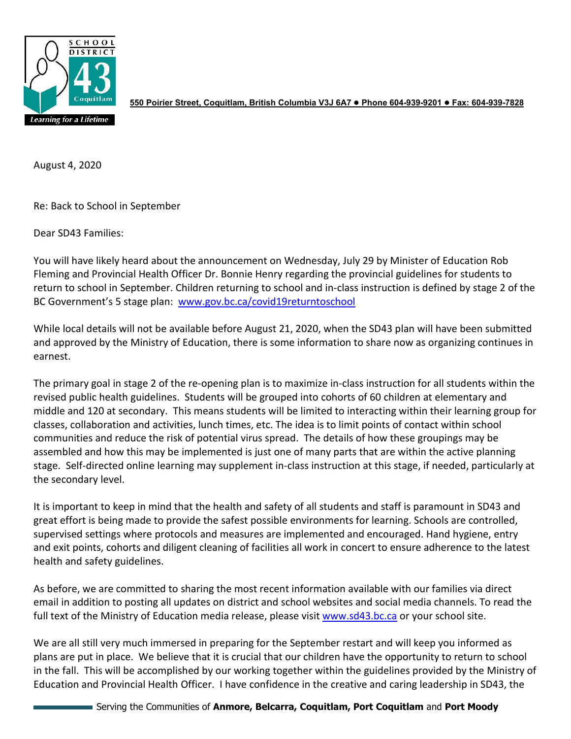

**550 Poirier Street, Coquitlam, British Columbia V3J 6A7 Phone 604-939-9201 Fax: 604-939-7828**

August 4, 2020

Re: Back to School in September

Dear SD43 Families:

You will have likely heard about the announcement on Wednesday, July 29 by Minister of Education Rob Fleming and Provincial Health Officer Dr. Bonnie Henry regarding the provincial guidelines for students to return to school in September. Children returning to school and in-class instruction is defined by stage 2 of the BC Government's 5 stage plan: [www.gov.bc.ca/covid19returntoschool](http://www.gov.bc.ca/covid19returntoschool)

While local details will not be available before August 21, 2020, when the SD43 plan will have been submitted and approved by the Ministry of Education, there is some information to share now as organizing continues in earnest.

The primary goal in stage 2 of the re-opening plan is to maximize in-class instruction for all students within the revised public health guidelines. Students will be grouped into cohorts of 60 children at elementary and middle and 120 at secondary. This means students will be limited to interacting within their learning group for classes, collaboration and activities, lunch times, etc. The idea is to limit points of contact within school communities and reduce the risk of potential virus spread. The details of how these groupings may be assembled and how this may be implemented is just one of many parts that are within the active planning stage. Self-directed online learning may supplement in-class instruction at this stage, if needed, particularly at the secondary level.

It is important to keep in mind that the health and safety of all students and staff is paramount in SD43 and great effort is being made to provide the safest possible environments for learning. Schools are controlled, supervised settings where protocols and measures are implemented and encouraged. Hand hygiene, entry and exit points, cohorts and diligent cleaning of facilities all work in concert to ensure adherence to the latest health and safety guidelines.

As before, we are committed to sharing the most recent information available with our families via direct email in addition to posting all updates on district and school websites and social media channels. To read the full text of the Ministry of Education media release, please visi[t www.sd43.bc.ca](http://www.sd43.bc.ca/) or your school site.

We are all still very much immersed in preparing for the September restart and will keep you informed as plans are put in place. We believe that it is crucial that our children have the opportunity to return to school in the fall. This will be accomplished by our working together within the guidelines provided by the Ministry of Education and Provincial Health Officer. I have confidence in the creative and caring leadership in SD43, the

Serving the Communities of **Anmore, Belcarra, Coquitlam, Port Coquitlam** and **Port Moody**